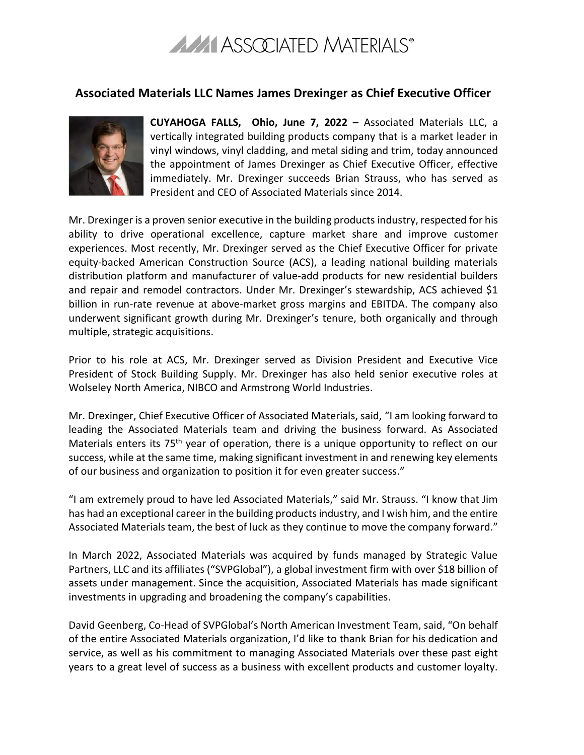

## **Associated Materials LLC Names James Drexinger as Chief Executive Officer**



**CUYAHOGA FALLS, Ohio, June 7, 2022 –** Associated Materials LLC, a vertically integrated building products company that is a market leader in vinyl windows, vinyl cladding, and metal siding and trim, today announced the appointment of James Drexinger as Chief Executive Officer, effective immediately. Mr. Drexinger succeeds Brian Strauss, who has served as President and CEO of Associated Materials since 2014.

Mr. Drexinger is a proven senior executive in the building products industry, respected for his ability to drive operational excellence, capture market share and improve customer experiences. Most recently, Mr. Drexinger served as the Chief Executive Officer for private equity-backed American Construction Source (ACS), a leading national building materials distribution platform and manufacturer of value-add products for new residential builders and repair and remodel contractors. Under Mr. Drexinger's stewardship, ACS achieved \$1 billion in run-rate revenue at above-market gross margins and EBITDA. The company also underwent significant growth during Mr. Drexinger's tenure, both organically and through multiple, strategic acquisitions.

Prior to his role at ACS, Mr. Drexinger served as Division President and Executive Vice President of Stock Building Supply. Mr. Drexinger has also held senior executive roles at Wolseley North America, NIBCO and Armstrong World Industries.

Mr. Drexinger, Chief Executive Officer of Associated Materials, said, "I am looking forward to leading the Associated Materials team and driving the business forward. As Associated Materials enters its 75<sup>th</sup> year of operation, there is a unique opportunity to reflect on our success, while at the same time, making significant investment in and renewing key elements of our business and organization to position it for even greater success."

"I am extremely proud to have led Associated Materials," said Mr. Strauss. "I know that Jim has had an exceptional career in the building products industry, and I wish him, and the entire Associated Materials team, the best of luck as they continue to move the company forward."

In March 2022, Associated Materials was acquired by funds managed by Strategic Value Partners, LLC and its affiliates ("SVPGlobal"), a global investment firm with over \$18 billion of assets under management. Since the acquisition, Associated Materials has made significant investments in upgrading and broadening the company's capabilities.

David Geenberg, Co-Head of SVPGlobal's North American Investment Team, said, "On behalf of the entire Associated Materials organization, I'd like to thank Brian for his dedication and service, as well as his commitment to managing Associated Materials over these past eight years to a great level of success as a business with excellent products and customer loyalty.